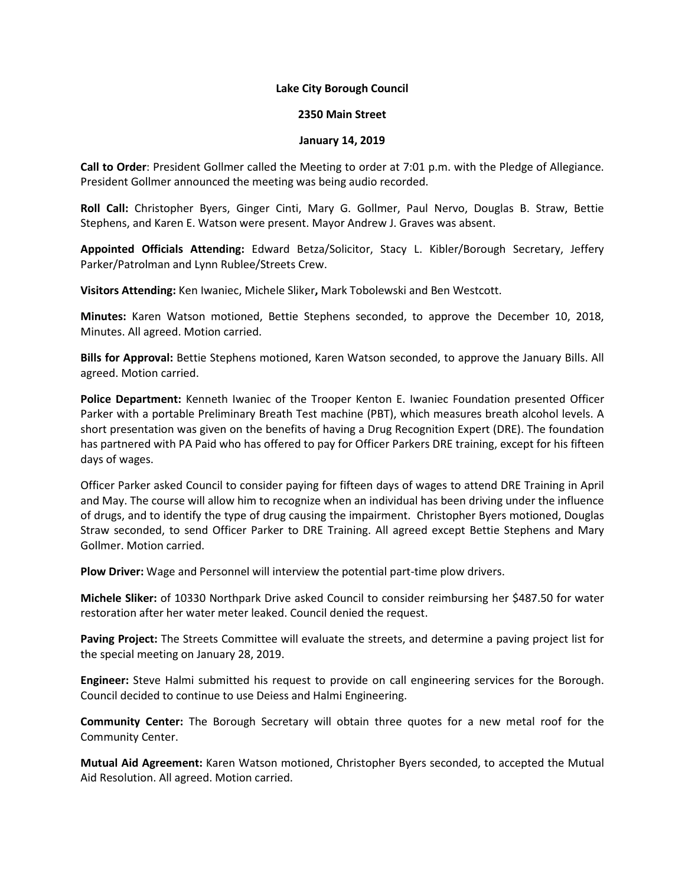## **Lake City Borough Council**

## **2350 Main Street**

## **January 14, 2019**

**Call to Order**: President Gollmer called the Meeting to order at 7:01 p.m. with the Pledge of Allegiance. President Gollmer announced the meeting was being audio recorded.

**Roll Call:** Christopher Byers, Ginger Cinti, Mary G. Gollmer, Paul Nervo, Douglas B. Straw, Bettie Stephens, and Karen E. Watson were present. Mayor Andrew J. Graves was absent.

**Appointed Officials Attending:** Edward Betza/Solicitor, Stacy L. Kibler/Borough Secretary, Jeffery Parker/Patrolman and Lynn Rublee/Streets Crew.

**Visitors Attending:** Ken Iwaniec, Michele Sliker**,** Mark Tobolewski and Ben Westcott.

**Minutes:** Karen Watson motioned, Bettie Stephens seconded, to approve the December 10, 2018, Minutes. All agreed. Motion carried.

**Bills for Approval:** Bettie Stephens motioned, Karen Watson seconded, to approve the January Bills. All agreed. Motion carried.

**Police Department:** Kenneth Iwaniec of the Trooper Kenton E. Iwaniec Foundation presented Officer Parker with a portable Preliminary Breath Test machine (PBT), which measures breath alcohol levels. A short presentation was given on the benefits of having a Drug Recognition Expert (DRE). The foundation has partnered with PA Paid who has offered to pay for Officer Parkers DRE training, except for his fifteen days of wages.

Officer Parker asked Council to consider paying for fifteen days of wages to attend DRE Training in April and May. The course will allow him to recognize when an individual has been driving under the influence of drugs, and to identify the type of drug causing the impairment. Christopher Byers motioned, Douglas Straw seconded, to send Officer Parker to DRE Training. All agreed except Bettie Stephens and Mary Gollmer. Motion carried.

**Plow Driver:** Wage and Personnel will interview the potential part-time plow drivers.

**Michele Sliker:** of 10330 Northpark Drive asked Council to consider reimbursing her \$487.50 for water restoration after her water meter leaked. Council denied the request.

**Paving Project:** The Streets Committee will evaluate the streets, and determine a paving project list for the special meeting on January 28, 2019.

**Engineer:** Steve Halmi submitted his request to provide on call engineering services for the Borough. Council decided to continue to use Deiess and Halmi Engineering.

**Community Center:** The Borough Secretary will obtain three quotes for a new metal roof for the Community Center.

**Mutual Aid Agreement:** Karen Watson motioned, Christopher Byers seconded, to accepted the Mutual Aid Resolution. All agreed. Motion carried.